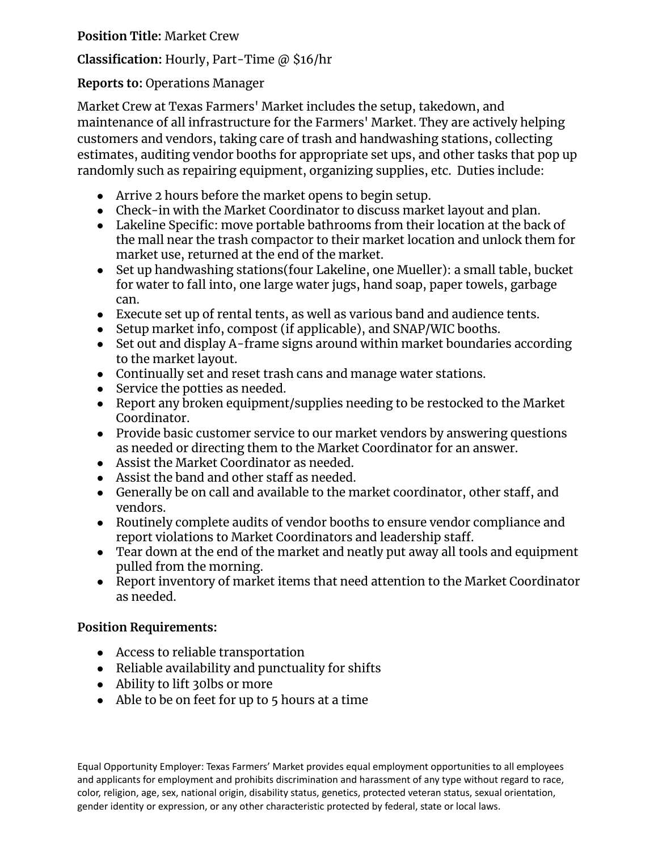**Position Title:** Market Crew

**Classification:** Hourly, Part-Time @ \$16/hr

## **Reports to:** Operations Manager

Market Crew at Texas Farmers' Market includes the setup, takedown, and maintenance of all infrastructure for the Farmers' Market. They are actively helping customers and vendors, taking care of trash and handwashing stations, collecting estimates, auditing vendor booths for appropriate set ups, and other tasks that pop up randomly such as repairing equipment, organizing supplies, etc. Duties include:

- Arrive 2 hours before the market opens to begin setup.
- Check-in with the Market Coordinator to discuss market layout and plan.
- Lakeline Specific: move portable bathrooms from their location at the back of the mall near the trash compactor to their market location and unlock them for market use, returned at the end of the market.
- Set up handwashing stations(four Lakeline, one Mueller): a small table, bucket for water to fall into, one large water jugs, hand soap, paper towels, garbage can.
- Execute set up of rental tents, as well as various band and audience tents.
- Setup market info, compost (if applicable), and SNAP/WIC booths.
- Set out and display A-frame signs around within market boundaries according to the market layout.
- Continually set and reset trash cans and manage water stations.
- Service the potties as needed.
- Report any broken equipment/supplies needing to be restocked to the Market Coordinator.
- Provide basic customer service to our market vendors by answering questions as needed or directing them to the Market Coordinator for an answer.
- Assist the Market Coordinator as needed.
- Assist the band and other staff as needed.
- Generally be on call and available to the market coordinator, other staff, and vendors.
- Routinely complete audits of vendor booths to ensure vendor compliance and report violations to Market Coordinators and leadership staff.
- Tear down at the end of the market and neatly put away all tools and equipment pulled from the morning.
- Report inventory of market items that need attention to the Market Coordinator as needed.

## **Position Requirements:**

- Access to reliable transportation
- Reliable availability and punctuality for shifts
- Ability to lift 30lbs or more
- $\bullet$  Able to be on feet for up to 5 hours at a time

Equal Opportunity Employer: Texas Farmers' Market provides equal employment opportunities to all employees and applicants for employment and prohibits discrimination and harassment of any type without regard to race, color, religion, age, sex, national origin, disability status, genetics, protected veteran status, sexual orientation, gender identity or expression, or any other characteristic protected by federal, state or local laws.